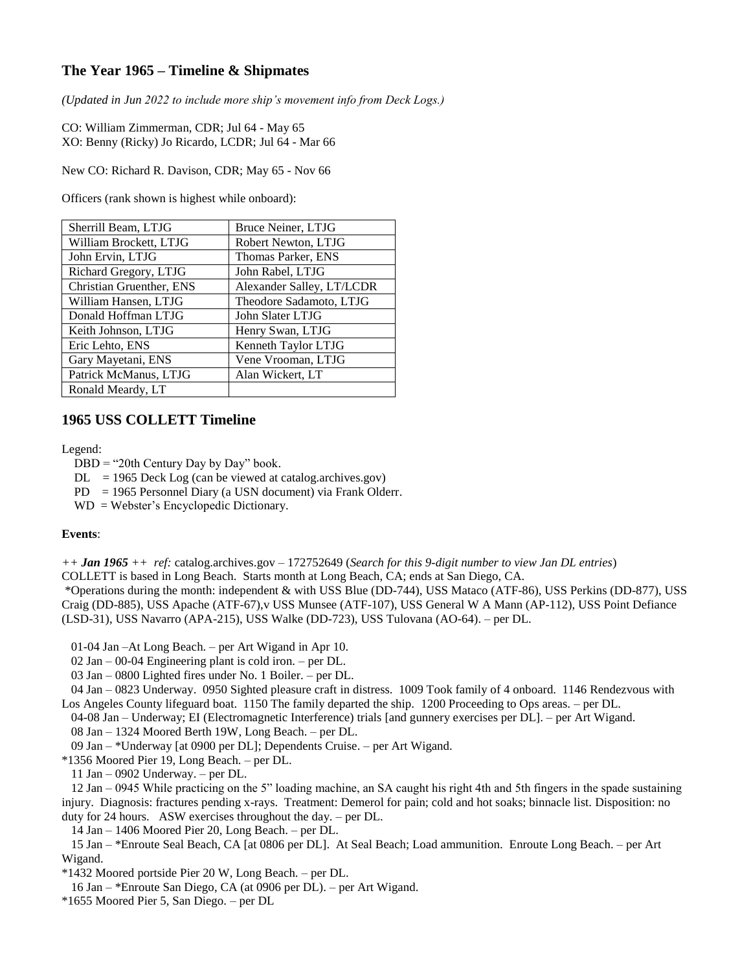## **The Year 1965 – Timeline & Shipmates**

*(Updated in Jun 2022 to include more ship's movement info from Deck Logs.)*

CO: William Zimmerman, CDR; Jul 64 - May 65 XO: Benny (Ricky) Jo Ricardo, LCDR; Jul 64 - Mar 66

New CO: Richard R. Davison, CDR; May 65 - Nov 66

Officers (rank shown is highest while onboard):

| Sherrill Beam, LTJG      | Bruce Neiner, LTJG        |
|--------------------------|---------------------------|
| William Brockett, LTJG   | Robert Newton, LTJG       |
| John Ervin, LTJG         | Thomas Parker, ENS        |
| Richard Gregory, LTJG    | John Rabel, LTJG          |
| Christian Gruenther, ENS | Alexander Salley, LT/LCDR |
| William Hansen, LTJG     | Theodore Sadamoto, LTJG   |
| Donald Hoffman LTJG      | John Slater LTJG          |
| Keith Johnson, LTJG      | Henry Swan, LTJG          |
| Eric Lehto, ENS          | Kenneth Taylor LTJG       |
| Gary Mayetani, ENS       | Vene Vrooman, LTJG        |
| Patrick McManus, LTJG    | Alan Wickert, LT          |
| Ronald Meardy, LT        |                           |

### **1965 USS COLLETT Timeline**

Legend:

 $DBD = "20th Century Day by Day" book.$ 

 $DL = 1965$  Deck Log (can be viewed at catalog.archives.gov)

- PD = 1965 Personnel Diary (a USN document) via Frank Olderr.
- WD = Webster's Encyclopedic Dictionary.

#### **Events**:

*++ Jan 1965 ++ ref:* catalog.archives.gov – 172752649 (*Search for this 9-digit number to view Jan DL entries*)

COLLETT is based in Long Beach. Starts month at Long Beach, CA; ends at San Diego, CA.

\*Operations during the month: independent & with USS Blue (DD-744), USS Mataco (ATF-86), USS Perkins (DD-877), USS Craig (DD-885), USS Apache (ATF-67),v USS Munsee (ATF-107), USS General W A Mann (AP-112), USS Point Defiance (LSD-31), USS Navarro (APA-215), USS Walke (DD-723), USS Tulovana (AO-64). – per DL.

01-04 Jan –At Long Beach. – per Art Wigand in Apr 10.

02 Jan – 00-04 Engineering plant is cold iron. – per DL.

03 Jan – 0800 Lighted fires under No. 1 Boiler. – per DL.

 04 Jan – 0823 Underway. 0950 Sighted pleasure craft in distress. 1009 Took family of 4 onboard. 1146 Rendezvous with Los Angeles County lifeguard boat. 1150 The family departed the ship. 1200 Proceeding to Ops areas. – per DL.

 04-08 Jan – Underway; EI (Electromagnetic Interference) trials [and gunnery exercises per DL]. – per Art Wigand. 08 Jan – 1324 Moored Berth 19W, Long Beach. – per DL.

09 Jan – \*Underway [at 0900 per DL]; Dependents Cruise. – per Art Wigand.

\*1356 Moored Pier 19, Long Beach. – per DL.

11 Jan – 0902 Underway. – per DL.

 12 Jan – 0945 While practicing on the 5" loading machine, an SA caught his right 4th and 5th fingers in the spade sustaining injury. Diagnosis: fractures pending x-rays. Treatment: Demerol for pain; cold and hot soaks; binnacle list. Disposition: no duty for 24 hours. ASW exercises throughout the day. – per DL.

14 Jan – 1406 Moored Pier 20, Long Beach. – per DL.

 15 Jan – \*Enroute Seal Beach, CA [at 0806 per DL]. At Seal Beach; Load ammunition. Enroute Long Beach. – per Art Wigand.

\*1432 Moored portside Pier 20 W, Long Beach. – per DL.

16 Jan – \*Enroute San Diego, CA (at 0906 per DL). – per Art Wigand.

\*1655 Moored Pier 5, San Diego. – per DL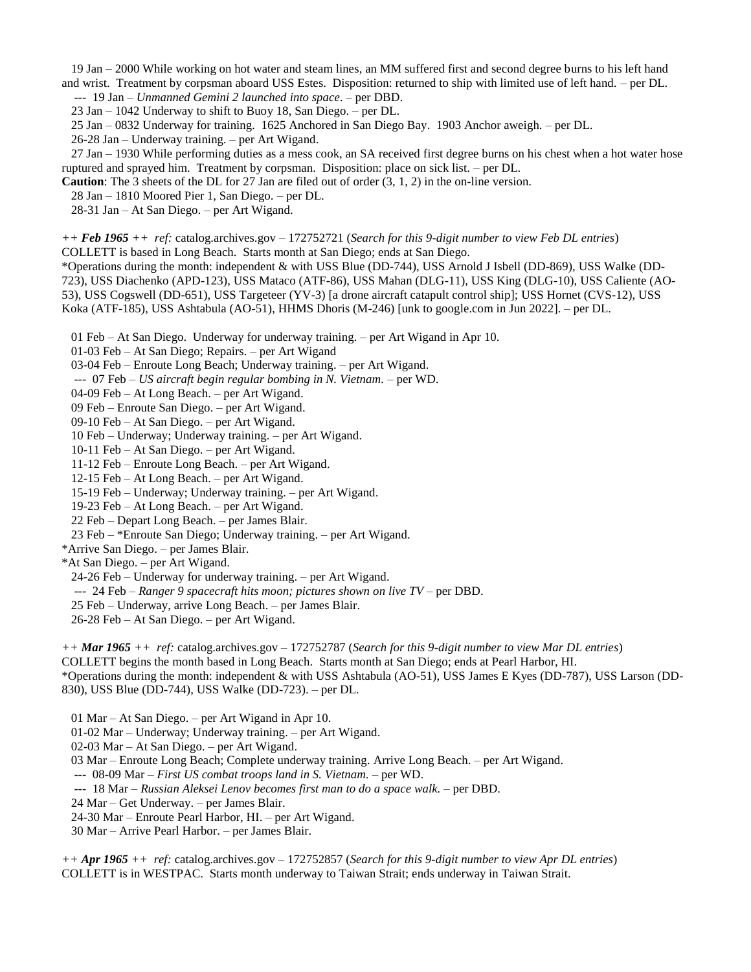19 Jan – 2000 While working on hot water and steam lines, an MM suffered first and second degree burns to his left hand and wrist. Treatment by corpsman aboard USS Estes. Disposition: returned to ship with limited use of left hand. – per DL.

--- 19 Jan – *Unmanned Gemini 2 launched into space*. – per DBD.

23 Jan – 1042 Underway to shift to Buoy 18, San Diego. – per DL.

25 Jan – 0832 Underway for training. 1625 Anchored in San Diego Bay. 1903 Anchor aweigh. – per DL.

26-28 Jan – Underway training. – per Art Wigand.

 27 Jan – 1930 While performing duties as a mess cook, an SA received first degree burns on his chest when a hot water hose ruptured and sprayed him. Treatment by corpsman. Disposition: place on sick list. – per DL.

**Caution**: The 3 sheets of the DL for 27 Jan are filed out of order (3, 1, 2) in the on-line version.

28 Jan – 1810 Moored Pier 1, San Diego. – per DL.

28-31 Jan – At San Diego. – per Art Wigand.

*++ Feb 1965 ++ ref:* catalog.archives.gov – 172752721 (*Search for this 9-digit number to view Feb DL entries*)

COLLETT is based in Long Beach. Starts month at San Diego; ends at San Diego.

\*Operations during the month: independent & with USS Blue (DD-744), USS Arnold J Isbell (DD-869), USS Walke (DD-723), USS Diachenko (APD-123), USS Mataco (ATF-86), USS Mahan (DLG-11), USS King (DLG-10), USS Caliente (AO-53), USS Cogswell (DD-651), USS Targeteer (YV-3) [a drone aircraft catapult control ship]; USS Hornet (CVS-12), USS Koka (ATF-185), USS Ashtabula (AO-51), HHMS Dhoris (M-246) [unk to google.com in Jun 2022]. – per DL.

01 Feb – At San Diego. Underway for underway training. – per Art Wigand in Apr 10.

01-03 Feb – At San Diego; Repairs. – per Art Wigand

03-04 Feb – Enroute Long Beach; Underway training. – per Art Wigand.

--- 07 Feb – *US aircraft begin regular bombing in N. Vietnam.* – per WD.

04-09 Feb – At Long Beach. – per Art Wigand.

09 Feb – Enroute San Diego. – per Art Wigand.

09-10 Feb – At San Diego. – per Art Wigand.

10 Feb – Underway; Underway training. – per Art Wigand.

10-11 Feb – At San Diego. – per Art Wigand.

11-12 Feb – Enroute Long Beach. – per Art Wigand.

12-15 Feb – At Long Beach. – per Art Wigand.

15-19 Feb – Underway; Underway training. – per Art Wigand.

19-23 Feb – At Long Beach. – per Art Wigand.

22 Feb – Depart Long Beach. – per James Blair.

23 Feb – \*Enroute San Diego; Underway training. – per Art Wigand.

\*Arrive San Diego. – per James Blair.

\*At San Diego. – per Art Wigand.

24-26 Feb – Underway for underway training. – per Art Wigand.

--- 24 Feb – *Ranger 9 spacecraft hits moon; pictures shown on live TV* – per DBD.

25 Feb – Underway, arrive Long Beach. – per James Blair.

26-28 Feb – At San Diego. – per Art Wigand.

*++ Mar 1965 ++ ref:* catalog.archives.gov – 172752787 (*Search for this 9-digit number to view Mar DL entries*) COLLETT begins the month based in Long Beach. Starts month at San Diego; ends at Pearl Harbor, HI. \*Operations during the month: independent & with USS Ashtabula (AO-51), USS James E Kyes (DD-787), USS Larson (DD-830), USS Blue (DD-744), USS Walke (DD-723). – per DL.

01 Mar – At San Diego. – per Art Wigand in Apr 10.

01-02 Mar – Underway; Underway training. – per Art Wigand.

02-03 Mar – At San Diego. – per Art Wigand.

03 Mar – Enroute Long Beach; Complete underway training. Arrive Long Beach. – per Art Wigand.

--- 08-09 Mar – *First US combat troops land in S. Vietnam.* – per WD.

--- 18 Mar – *Russian Aleksei Lenov becomes first man to do a space walk.* – per DBD.

24 Mar – Get Underway. – per James Blair.

24-30 Mar – Enroute Pearl Harbor, HI. – per Art Wigand.

30 Mar – Arrive Pearl Harbor. – per James Blair.

*++ Apr 1965 ++ ref:* catalog.archives.gov – 172752857 (*Search for this 9-digit number to view Apr DL entries*) COLLETT is in WESTPAC. Starts month underway to Taiwan Strait; ends underway in Taiwan Strait.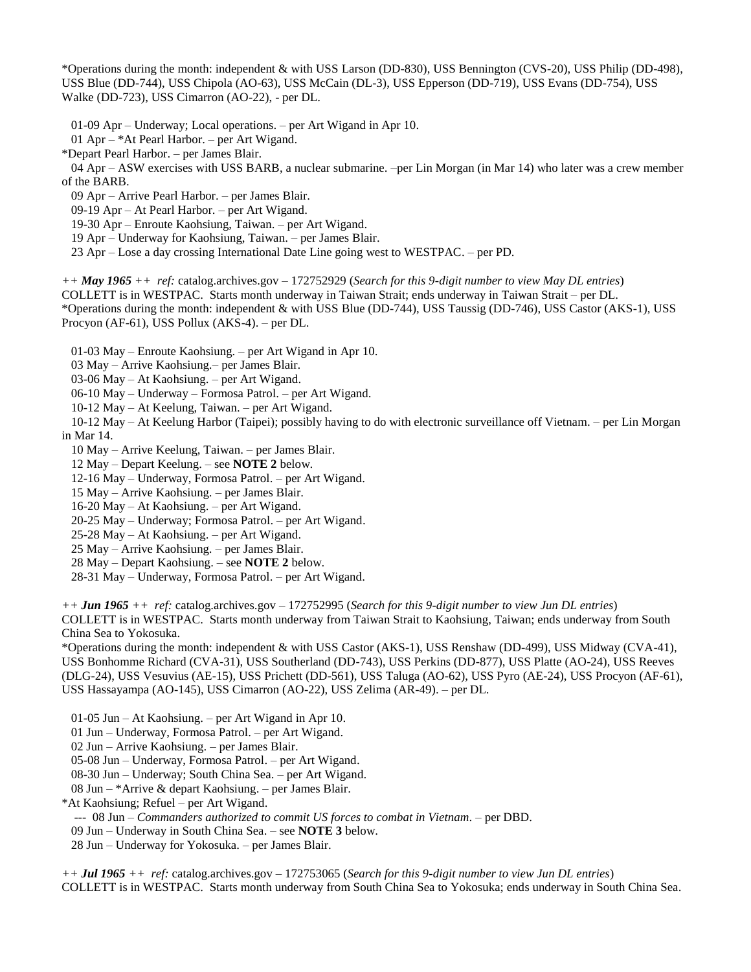\*Operations during the month: independent & with USS Larson (DD-830), USS Bennington (CVS-20), USS Philip (DD-498), USS Blue (DD-744), USS Chipola (AO-63), USS McCain (DL-3), USS Epperson (DD-719), USS Evans (DD-754), USS Walke (DD-723), USS Cimarron (AO-22), - per DL.

01-09 Apr – Underway; Local operations. – per Art Wigand in Apr 10.

01 Apr – \*At Pearl Harbor. – per Art Wigand.

\*Depart Pearl Harbor. – per James Blair.

 04 Apr – ASW exercises with USS BARB, a nuclear submarine. –per Lin Morgan (in Mar 14) who later was a crew member of the BARB.

09 Apr – Arrive Pearl Harbor. – per James Blair.

09-19 Apr – At Pearl Harbor. – per Art Wigand.

19-30 Apr – Enroute Kaohsiung, Taiwan. – per Art Wigand.

19 Apr – Underway for Kaohsiung, Taiwan. – per James Blair.

23 Apr – Lose a day crossing International Date Line going west to WESTPAC. – per PD.

*++ May 1965 ++ ref:* catalog.archives.gov – 172752929 (*Search for this 9-digit number to view May DL entries*)

COLLETT is in WESTPAC. Starts month underway in Taiwan Strait; ends underway in Taiwan Strait – per DL.

\*Operations during the month: independent & with USS Blue (DD-744), USS Taussig (DD-746), USS Castor (AKS-1), USS Procyon (AF-61), USS Pollux (AKS-4). – per DL.

01-03 May – Enroute Kaohsiung. – per Art Wigand in Apr 10.

03 May – Arrive Kaohsiung.– per James Blair.

03-06 May – At Kaohsiung. – per Art Wigand.

06-10 May – Underway – Formosa Patrol. – per Art Wigand.

10-12 May – At Keelung, Taiwan. – per Art Wigand.

 10-12 May – At Keelung Harbor (Taipei); possibly having to do with electronic surveillance off Vietnam. – per Lin Morgan in Mar 14.

10 May – Arrive Keelung, Taiwan. – per James Blair.

12 May – Depart Keelung. – see **NOTE 2** below.

12-16 May – Underway, Formosa Patrol. – per Art Wigand.

15 May – Arrive Kaohsiung. – per James Blair.

16-20 May – At Kaohsiung. – per Art Wigand.

20-25 May – Underway; Formosa Patrol. – per Art Wigand.

25-28 May – At Kaohsiung. – per Art Wigand.

25 May – Arrive Kaohsiung. – per James Blair.

28 May – Depart Kaohsiung. – see **NOTE 2** below.

28-31 May – Underway, Formosa Patrol. – per Art Wigand.

*++ Jun 1965 ++ ref:* catalog.archives.gov – 172752995 (*Search for this 9-digit number to view Jun DL entries*) COLLETT is in WESTPAC. Starts month underway from Taiwan Strait to Kaohsiung, Taiwan; ends underway from South China Sea to Yokosuka.

\*Operations during the month: independent & with USS Castor (AKS-1), USS Renshaw (DD-499), USS Midway (CVA-41), USS Bonhomme Richard (CVA-31), USS Southerland (DD-743), USS Perkins (DD-877), USS Platte (AO-24), USS Reeves (DLG-24), USS Vesuvius (AE-15), USS Prichett (DD-561), USS Taluga (AO-62), USS Pyro (AE-24), USS Procyon (AF-61), USS Hassayampa (AO-145), USS Cimarron (AO-22), USS Zelima (AR-49). – per DL.

01-05 Jun – At Kaohsiung. – per Art Wigand in Apr 10.

01 Jun – Underway, Formosa Patrol. – per Art Wigand.

02 Jun – Arrive Kaohsiung. – per James Blair.

05-08 Jun – Underway, Formosa Patrol. – per Art Wigand.

08-30 Jun – Underway; South China Sea. – per Art Wigand.

08 Jun – \*Arrive & depart Kaohsiung. – per James Blair.

\*At Kaohsiung; Refuel – per Art Wigand.

--- 08 Jun – *Commanders authorized to commit US forces to combat in Vietnam.* – per DBD.

09 Jun – Underway in South China Sea. – see **NOTE 3** below.

28 Jun – Underway for Yokosuka. – per James Blair.

*++ Jul 1965 ++ ref:* catalog.archives.gov – 172753065 (*Search for this 9-digit number to view Jun DL entries*) COLLETT is in WESTPAC. Starts month underway from South China Sea to Yokosuka; ends underway in South China Sea.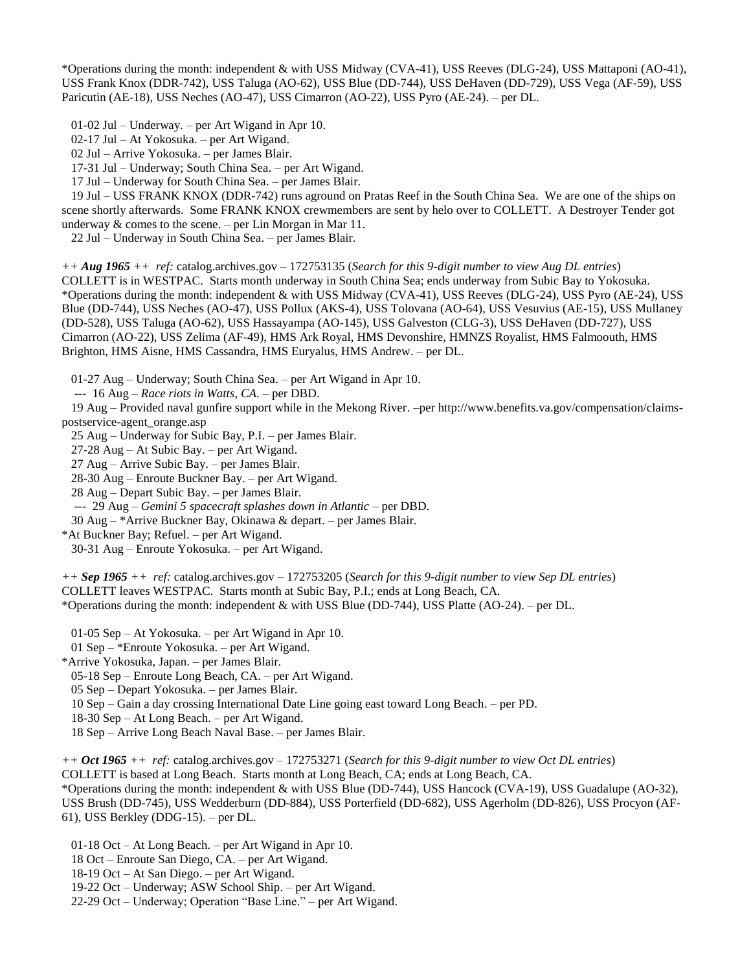\*Operations during the month: independent & with USS Midway (CVA-41), USS Reeves (DLG-24), USS Mattaponi (AO-41), USS Frank Knox (DDR-742), USS Taluga (AO-62), USS Blue (DD-744), USS DeHaven (DD-729), USS Vega (AF-59), USS Paricutin (AE-18), USS Neches (AO-47), USS Cimarron (AO-22), USS Pyro (AE-24). – per DL.

01-02 Jul – Underway. – per Art Wigand in Apr 10.

02-17 Jul – At Yokosuka. – per Art Wigand.

02 Jul – Arrive Yokosuka. – per James Blair.

17-31 Jul – Underway; South China Sea. – per Art Wigand.

17 Jul – Underway for South China Sea. – per James Blair.

 19 Jul – USS FRANK KNOX (DDR-742) runs aground on Pratas Reef in the South China Sea. We are one of the ships on scene shortly afterwards. Some FRANK KNOX crewmembers are sent by helo over to COLLETT. A Destroyer Tender got underway  $\&$  comes to the scene. – per Lin Morgan in Mar 11.

22 Jul – Underway in South China Sea. – per James Blair.

*++ Aug 1965 ++ ref:* catalog.archives.gov – 172753135 (*Search for this 9-digit number to view Aug DL entries*)

COLLETT is in WESTPAC. Starts month underway in South China Sea; ends underway from Subic Bay to Yokosuka. \*Operations during the month: independent & with USS Midway (CVA-41), USS Reeves (DLG-24), USS Pyro (AE-24), USS Blue (DD-744), USS Neches (AO-47), USS Pollux (AKS-4), USS Tolovana (AO-64), USS Vesuvius (AE-15), USS Mullaney (DD-528), USS Taluga (AO-62), USS Hassayampa (AO-145), USS Galveston (CLG-3), USS DeHaven (DD-727), USS Cimarron (AO-22), USS Zelima (AF-49), HMS Ark Royal, HMS Devonshire, HMNZS Royalist, HMS Falmoouth, HMS Brighton, HMS Aisne, HMS Cassandra, HMS Euryalus, HMS Andrew. – per DL.

01-27 Aug – Underway; South China Sea. – per Art Wigand in Apr 10.

--- 16 Aug – *Race riots in Watts, CA*. – per DBD.

 19 Aug – Provided naval gunfire support while in the Mekong River. –per http://www.benefits.va.gov/compensation/claimspostservice-agent\_orange.asp

25 Aug – Underway for Subic Bay, P.I. – per James Blair.

27-28 Aug – At Subic Bay. – per Art Wigand.

27 Aug – Arrive Subic Bay. – per James Blair.

28-30 Aug – Enroute Buckner Bay. – per Art Wigand.

28 Aug – Depart Subic Bay. – per James Blair.

--- 29 Aug – *Gemini 5 spacecraft splashes down in Atlantic* – per DBD.

30 Aug – \*Arrive Buckner Bay, Okinawa & depart. – per James Blair.

\*At Buckner Bay; Refuel. – per Art Wigand.

30-31 Aug – Enroute Yokosuka. – per Art Wigand.

*++ Sep 1965 ++ ref:* catalog.archives.gov – 172753205 (*Search for this 9-digit number to view Sep DL entries*) COLLETT leaves WESTPAC. Starts month at Subic Bay, P.I.; ends at Long Beach, CA. \*Operations during the month: independent & with USS Blue (DD-744), USS Platte (AO-24). – per DL.

01-05 Sep – At Yokosuka. – per Art Wigand in Apr 10.

01 Sep – \*Enroute Yokosuka. – per Art Wigand.

\*Arrive Yokosuka, Japan. – per James Blair.

05-18 Sep – Enroute Long Beach, CA. – per Art Wigand.

05 Sep – Depart Yokosuka. – per James Blair.

10 Sep – Gain a day crossing International Date Line going east toward Long Beach. – per PD.

18-30 Sep – At Long Beach. – per Art Wigand.

18 Sep – Arrive Long Beach Naval Base. – per James Blair.

*++ Oct 1965 ++ ref:* catalog.archives.gov – 172753271 (*Search for this 9-digit number to view Oct DL entries*)

COLLETT is based at Long Beach. Starts month at Long Beach, CA; ends at Long Beach, CA.

\*Operations during the month: independent & with USS Blue (DD-744), USS Hancock (CVA-19), USS Guadalupe (AO-32), USS Brush (DD-745), USS Wedderburn (DD-884), USS Porterfield (DD-682), USS Agerholm (DD-826), USS Procyon (AF-61), USS Berkley (DDG-15). – per DL.

01-18 Oct – At Long Beach. – per Art Wigand in Apr 10.

18 Oct – Enroute San Diego, CA. – per Art Wigand.

18-19 Oct – At San Diego. – per Art Wigand.

19-22 Oct – Underway; ASW School Ship. – per Art Wigand.

22-29 Oct – Underway; Operation "Base Line." – per Art Wigand.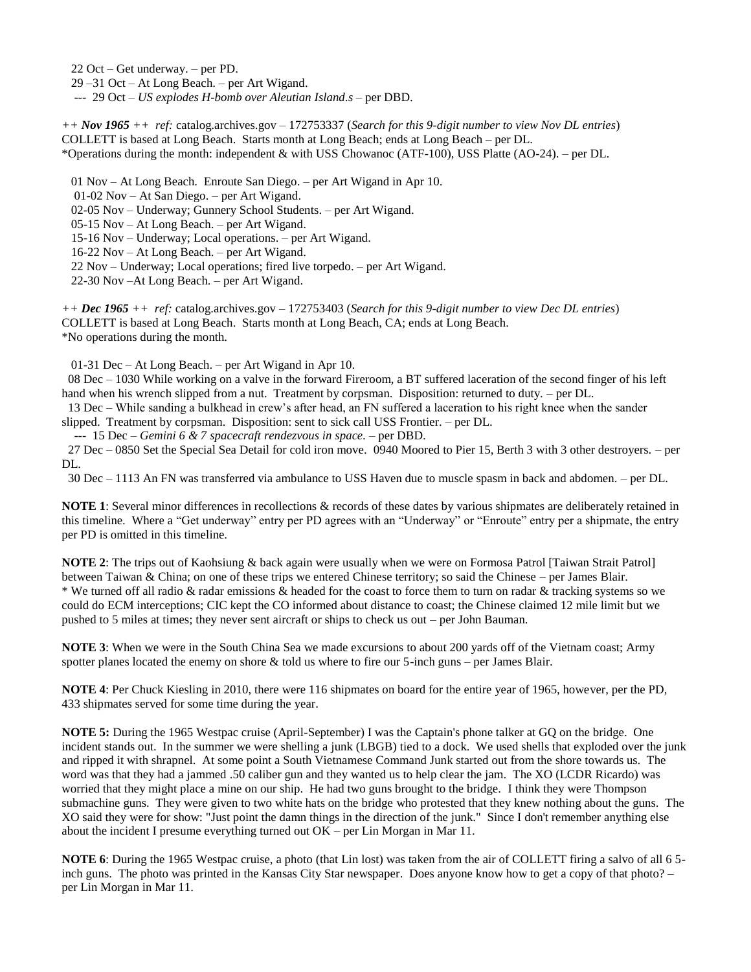22 Oct – Get underway. – per PD.

29 –31 Oct – At Long Beach. – per Art Wigand.

--- 29 Oct – *US explodes H-bomb over Aleutian Island.s* – per DBD.

*++ Nov 1965 ++ ref:* catalog.archives.gov – 172753337 (*Search for this 9-digit number to view Nov DL entries*) COLLETT is based at Long Beach. Starts month at Long Beach; ends at Long Beach – per DL. \*Operations during the month: independent & with USS Chowanoc (ATF-100), USS Platte (AO-24). – per DL.

01 Nov – At Long Beach. Enroute San Diego. – per Art Wigand in Apr 10.

01-02 Nov – At San Diego. – per Art Wigand.

02-05 Nov – Underway; Gunnery School Students. – per Art Wigand.

05-15 Nov – At Long Beach. – per Art Wigand.

15-16 Nov – Underway; Local operations. – per Art Wigand.

16-22 Nov – At Long Beach. – per Art Wigand.

22 Nov – Underway; Local operations; fired live torpedo. – per Art Wigand.

22-30 Nov –At Long Beach. – per Art Wigand.

*++ Dec 1965 ++ ref:* catalog.archives.gov – 172753403 (*Search for this 9-digit number to view Dec DL entries*) COLLETT is based at Long Beach. Starts month at Long Beach, CA; ends at Long Beach. \*No operations during the month.

01-31 Dec – At Long Beach. – per Art Wigand in Apr 10.

 08 Dec – 1030 While working on a valve in the forward Fireroom, a BT suffered laceration of the second finger of his left hand when his wrench slipped from a nut. Treatment by corpsman. Disposition: returned to duty. – per DL.

 13 Dec – While sanding a bulkhead in crew's after head, an FN suffered a laceration to his right knee when the sander slipped. Treatment by corpsman. Disposition: sent to sick call USS Frontier. – per DL.

--- 15 Dec – *Gemini 6 & 7 spacecraft rendezvous in space.* – per DBD.

 27 Dec – 0850 Set the Special Sea Detail for cold iron move. 0940 Moored to Pier 15, Berth 3 with 3 other destroyers. – per DL.

30 Dec – 1113 An FN was transferred via ambulance to USS Haven due to muscle spasm in back and abdomen. – per DL.

**NOTE 1**: Several minor differences in recollections & records of these dates by various shipmates are deliberately retained in this timeline. Where a "Get underway" entry per PD agrees with an "Underway" or "Enroute" entry per a shipmate, the entry per PD is omitted in this timeline.

**NOTE 2**: The trips out of Kaohsiung & back again were usually when we were on Formosa Patrol [Taiwan Strait Patrol] between Taiwan & China; on one of these trips we entered Chinese territory; so said the Chinese – per James Blair. \* We turned off all radio & radar emissions & headed for the coast to force them to turn on radar & tracking systems so we could do ECM interceptions; CIC kept the CO informed about distance to coast; the Chinese claimed 12 mile limit but we pushed to 5 miles at times; they never sent aircraft or ships to check us out – per John Bauman.

**NOTE 3**: When we were in the South China Sea we made excursions to about 200 yards off of the Vietnam coast; Army spotter planes located the enemy on shore & told us where to fire our 5-inch guns – per James Blair.

**NOTE 4**: Per Chuck Kiesling in 2010, there were 116 shipmates on board for the entire year of 1965, however, per the PD, 433 shipmates served for some time during the year.

**NOTE 5:** During the 1965 Westpac cruise (April-September) I was the Captain's phone talker at GQ on the bridge. One incident stands out. In the summer we were shelling a junk (LBGB) tied to a dock. We used shells that exploded over the junk and ripped it with shrapnel. At some point a South Vietnamese Command Junk started out from the shore towards us. The word was that they had a jammed .50 caliber gun and they wanted us to help clear the jam. The XO (LCDR Ricardo) was worried that they might place a mine on our ship. He had two guns brought to the bridge. I think they were Thompson submachine guns. They were given to two white hats on the bridge who protested that they knew nothing about the guns. The XO said they were for show: "Just point the damn things in the direction of the junk." Since I don't remember anything else about the incident I presume everything turned out OK – per Lin Morgan in Mar 11.

**NOTE 6**: During the 1965 Westpac cruise, a photo (that Lin lost) was taken from the air of COLLETT firing a salvo of all 6 5 inch guns. The photo was printed in the Kansas City Star newspaper. Does anyone know how to get a copy of that photo? – per Lin Morgan in Mar 11.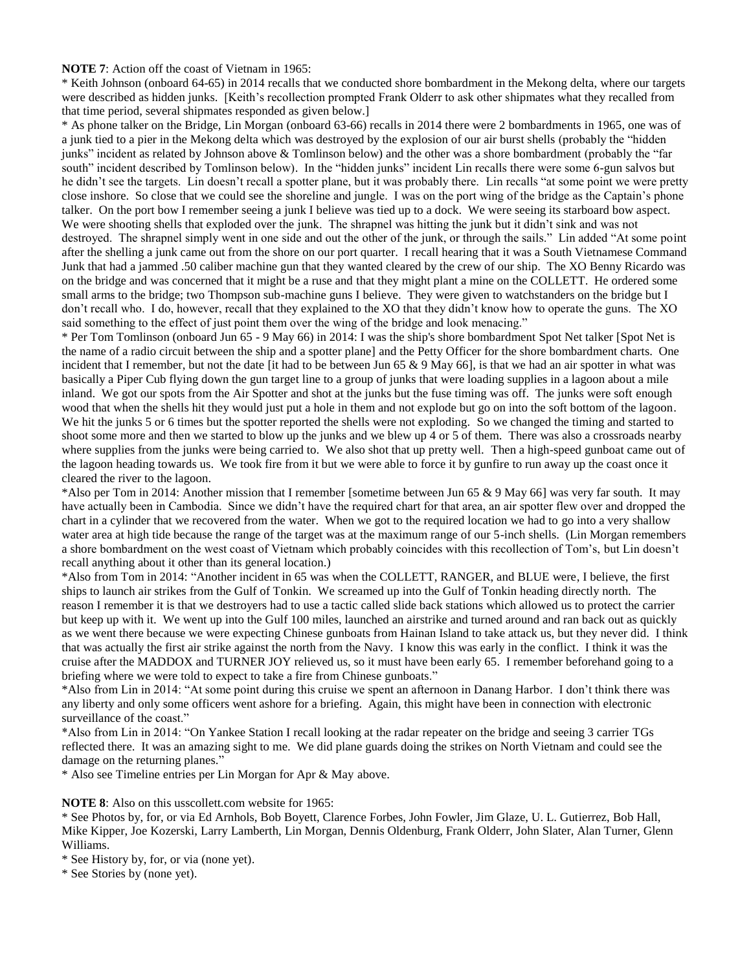#### **NOTE 7**: Action off the coast of Vietnam in 1965:

\* Keith Johnson (onboard 64-65) in 2014 recalls that we conducted shore bombardment in the Mekong delta, where our targets were described as hidden junks. [Keith's recollection prompted Frank Olderr to ask other shipmates what they recalled from that time period, several shipmates responded as given below.]

\* As phone talker on the Bridge, Lin Morgan (onboard 63-66) recalls in 2014 there were 2 bombardments in 1965, one was of a junk tied to a pier in the Mekong delta which was destroyed by the explosion of our air burst shells (probably the "hidden junks" incident as related by Johnson above & Tomlinson below) and the other was a shore bombardment (probably the "far south" incident described by Tomlinson below). In the "hidden junks" incident Lin recalls there were some 6-gun salvos but he didn't see the targets. Lin doesn't recall a spotter plane, but it was probably there. Lin recalls "at some point we were pretty close inshore. So close that we could see the shoreline and jungle. I was on the port wing of the bridge as the Captain's phone talker. On the port bow I remember seeing a junk I believe was tied up to a dock. We were seeing its starboard bow aspect. We were shooting shells that exploded over the junk. The shrapnel was hitting the junk but it didn't sink and was not destroyed. The shrapnel simply went in one side and out the other of the junk, or through the sails." Lin added "At some point after the shelling a junk came out from the shore on our port quarter. I recall hearing that it was a South Vietnamese Command Junk that had a jammed .50 caliber machine gun that they wanted cleared by the crew of our ship. The XO Benny Ricardo was on the bridge and was concerned that it might be a ruse and that they might plant a mine on the COLLETT. He ordered some small arms to the bridge; two Thompson sub-machine guns I believe. They were given to watchstanders on the bridge but I don't recall who. I do, however, recall that they explained to the XO that they didn't know how to operate the guns. The XO said something to the effect of just point them over the wing of the bridge and look menacing."

\* Per Tom Tomlinson (onboard Jun 65 - 9 May 66) in 2014: I was the ship's shore bombardment Spot Net talker [Spot Net is the name of a radio circuit between the ship and a spotter plane] and the Petty Officer for the shore bombardment charts. One incident that I remember, but not the date [it had to be between Jun 65 & 9 May 66], is that we had an air spotter in what was basically a Piper Cub flying down the gun target line to a group of junks that were loading supplies in a lagoon about a mile inland. We got our spots from the Air Spotter and shot at the junks but the fuse timing was off. The junks were soft enough wood that when the shells hit they would just put a hole in them and not explode but go on into the soft bottom of the lagoon. We hit the junks 5 or 6 times but the spotter reported the shells were not exploding. So we changed the timing and started to shoot some more and then we started to blow up the junks and we blew up 4 or 5 of them. There was also a crossroads nearby where supplies from the junks were being carried to. We also shot that up pretty well. Then a high-speed gunboat came out of the lagoon heading towards us. We took fire from it but we were able to force it by gunfire to run away up the coast once it cleared the river to the lagoon.

\*Also per Tom in 2014: Another mission that I remember [sometime between Jun 65 & 9 May 66] was very far south. It may have actually been in Cambodia. Since we didn't have the required chart for that area, an air spotter flew over and dropped the chart in a cylinder that we recovered from the water. When we got to the required location we had to go into a very shallow water area at high tide because the range of the target was at the maximum range of our 5-inch shells. (Lin Morgan remembers a shore bombardment on the west coast of Vietnam which probably coincides with this recollection of Tom's, but Lin doesn't recall anything about it other than its general location.)

\*Also from Tom in 2014: "Another incident in 65 was when the COLLETT, RANGER, and BLUE were, I believe, the first ships to launch air strikes from the Gulf of Tonkin. We screamed up into the Gulf of Tonkin heading directly north. The reason I remember it is that we destroyers had to use a tactic called slide back stations which allowed us to protect the carrier but keep up with it. We went up into the Gulf 100 miles, launched an airstrike and turned around and ran back out as quickly as we went there because we were expecting Chinese gunboats from Hainan Island to take attack us, but they never did. I think that was actually the first air strike against the north from the Navy. I know this was early in the conflict. I think it was the cruise after the MADDOX and TURNER JOY relieved us, so it must have been early 65. I remember beforehand going to a briefing where we were told to expect to take a fire from Chinese gunboats."

\*Also from Lin in 2014: "At some point during this cruise we spent an afternoon in Danang Harbor. I don't think there was any liberty and only some officers went ashore for a briefing. Again, this might have been in connection with electronic surveillance of the coast."

\*Also from Lin in 2014: "On Yankee Station I recall looking at the radar repeater on the bridge and seeing 3 carrier TGs reflected there. It was an amazing sight to me. We did plane guards doing the strikes on North Vietnam and could see the damage on the returning planes."

\* Also see Timeline entries per Lin Morgan for Apr & May above.

**NOTE 8**: Also on this usscollett.com website for 1965:

\* See Photos by, for, or via Ed Arnhols, Bob Boyett, Clarence Forbes, John Fowler, Jim Glaze, U. L. Gutierrez, Bob Hall, Mike Kipper, Joe Kozerski, Larry Lamberth, Lin Morgan, Dennis Oldenburg, Frank Olderr, John Slater, Alan Turner, Glenn Williams.

\* See History by, for, or via (none yet).

\* See Stories by (none yet).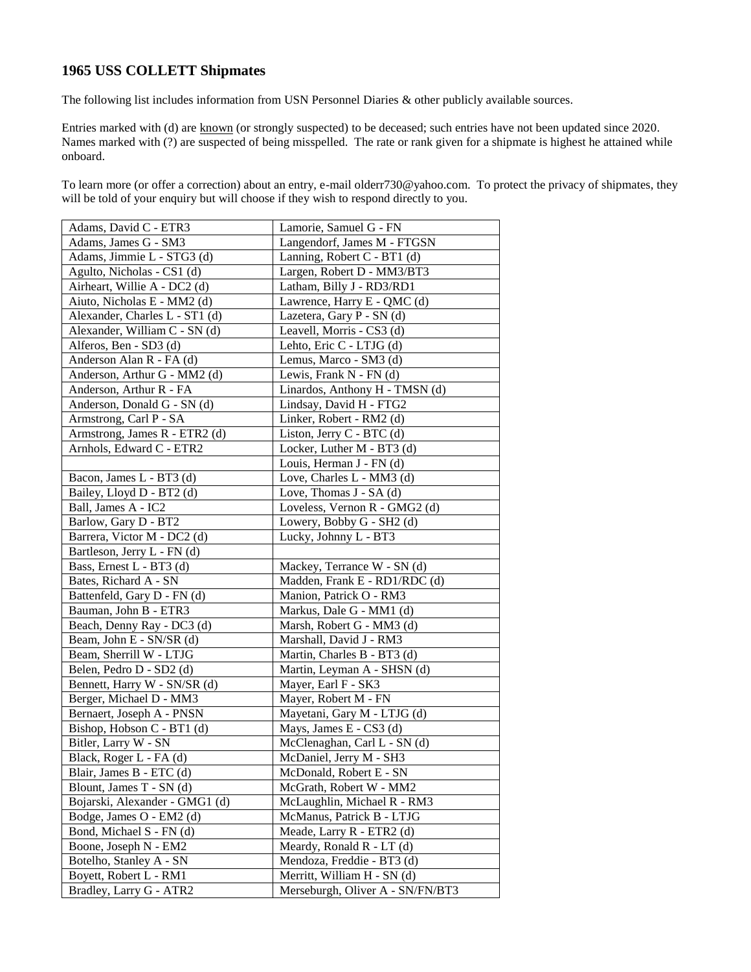# **1965 USS COLLETT Shipmates**

The following list includes information from USN Personnel Diaries & other publicly available sources.

Entries marked with (d) are known (or strongly suspected) to be deceased; such entries have not been updated since 2020. Names marked with (?) are suspected of being misspelled. The rate or rank given for a shipmate is highest he attained while onboard.

To learn more (or offer a correction) about an entry, e-mail olderr730@yahoo.com. To protect the privacy of shipmates, they will be told of your enquiry but will choose if they wish to respond directly to you.

| Adams, David C - ETR3          | Lamorie, Samuel G - FN           |
|--------------------------------|----------------------------------|
| Adams, James G - SM3           | Langendorf, James M - FTGSN      |
| Adams, Jimmie L - STG3 (d)     | Lanning, Robert C - BT1 (d)      |
| Agulto, Nicholas - CS1 (d)     | Largen, Robert D - MM3/BT3       |
| Airheart, Willie A - DC2 (d)   | Latham, Billy J - RD3/RD1        |
| Aiuto, Nicholas E - MM2 (d)    | Lawrence, Harry E - QMC (d)      |
| Alexander, Charles L - ST1 (d) | Lazetera, Gary P - SN (d)        |
| Alexander, William C - SN (d)  | Leavell, Morris - CS3 (d)        |
| Alferos, Ben - SD3 (d)         | Lehto, Eric C - LTJG (d)         |
| Anderson Alan R - FA (d)       | Lemus, Marco - SM3 (d)           |
| Anderson, Arthur G - MM2 (d)   | Lewis, Frank N - FN (d)          |
| Anderson, Arthur R - FA        | Linardos, Anthony H - TMSN (d)   |
| Anderson, Donald G - SN (d)    | Lindsay, David H - FTG2          |
| Armstrong, Carl P - SA         | Linker, Robert - RM2 (d)         |
| Armstrong, James R - ETR2 (d)  | Liston, Jerry C - BTC (d)        |
| Arnhols, Edward C - ETR2       | Locker, Luther M - BT3 (d)       |
|                                | Louis, Herman J - FN (d)         |
| Bacon, James L - BT3 (d)       | Love, Charles L - MM3 (d)        |
| Bailey, Lloyd D - BT2 (d)      | Love, Thomas J - SA (d)          |
| Ball, James A - IC2            | Loveless, Vernon R - GMG2 (d)    |
| Barlow, Gary D - BT2           | Lowery, Bobby G - SH2 (d)        |
| Barrera, Victor M - DC2 (d)    | Lucky, Johnny L - BT3            |
| Bartleson, Jerry L - FN (d)    |                                  |
| Bass, Ernest L - BT3 (d)       | Mackey, Terrance W - SN (d)      |
| Bates, Richard A - SN          | Madden, Frank E - RD1/RDC (d)    |
| Battenfeld, Gary D - FN (d)    | Manion, Patrick O - RM3          |
| Bauman, John B - ETR3          | Markus, Dale G - MM1 (d)         |
| Beach, Denny Ray - DC3 (d)     | Marsh, Robert G - MM3 (d)        |
| Beam, John E - SN/SR (d)       | Marshall, David J - RM3          |
| Beam, Sherrill W - LTJG        | Martin, Charles B - BT3 (d)      |
| Belen, Pedro D - SD2 (d)       | Martin, Leyman A - SHSN (d)      |
| Bennett, Harry W - SN/SR (d)   | Mayer, Earl F - SK3              |
| Berger, Michael D - MM3        | Mayer, Robert M - FN             |
| Bernaert, Joseph A - PNSN      | Mayetani, Gary M - LTJG (d)      |
| Bishop, Hobson C - BT1 (d)     | Mays, James E - CS3 (d)          |
| Bitler, Larry W - SN           | McClenaghan, Carl L - SN (d)     |
| Black, Roger L - FA (d)        | McDaniel, Jerry M - SH3          |
| Blair, James B - ETC (d)       | McDonald, Robert E - SN          |
| Blount, James T - SN (d)       | McGrath, Robert W - MM2          |
| Bojarski, Alexander - GMG1 (d) | McLaughlin, Michael R - RM3      |
| Bodge, James O - EM2 (d)       | McManus, Patrick B - LTJG        |
| Bond, Michael S - FN (d)       | Meade, Larry R - ETR2 (d)        |
| Boone, Joseph N - EM2          | Meardy, Ronald R - LT (d)        |
| Botelho, Stanley A - SN        | Mendoza, Freddie - BT3 (d)       |
| Boyett, Robert L - RM1         | Merritt, William H - SN (d)      |
| Bradley, Larry G - ATR2        | Merseburgh, Oliver A - SN/FN/BT3 |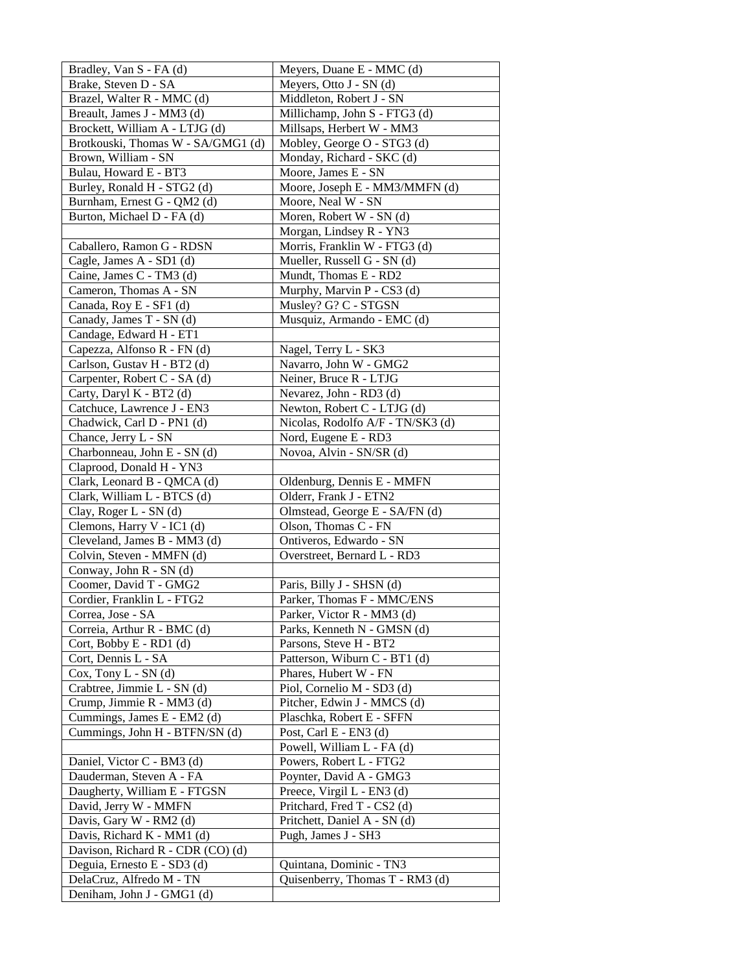| Bradley, Van S - FA (d)                         | Meyers, Duane E - MMC (d)                               |
|-------------------------------------------------|---------------------------------------------------------|
| Brake, Steven D - SA                            | Meyers, Otto J - SN (d)                                 |
| Brazel, Walter R - MMC (d)                      | Middleton, Robert J - SN                                |
| Breault, James J - MM3 (d)                      | Millichamp, John S - FTG3 (d)                           |
| Brockett, William A - LTJG (d)                  | Millsaps, Herbert W - MM3                               |
| Brotkouski, Thomas W - SA/GMG1 (d)              | Mobley, George O - STG3 (d)                             |
| Brown, William - SN                             | Monday, Richard - SKC (d)                               |
| Bulau, Howard E - BT3                           | Moore, James E - SN                                     |
| Burley, Ronald H - STG2 (d)                     | Moore, Joseph E - MM3/MMFN (d)                          |
| Burnham, Ernest G - QM2 (d)                     | Moore, Neal W - SN                                      |
| Burton, Michael D - FA (d)                      | Moren, Robert W - SN (d)                                |
|                                                 | Morgan, Lindsey R - YN3                                 |
| Caballero, Ramon G - RDSN                       | Morris, Franklin W - FTG3 (d)                           |
| Cagle, James A - SD1 (d)                        | Mueller, Russell G - SN (d)                             |
| Caine, James C - TM3 (d)                        | Mundt, Thomas E - RD2                                   |
| Cameron, Thomas A - SN                          | Murphy, Marvin P - CS3 (d)                              |
| Canada, Roy E - SF1 (d)                         | Musley? G? C - STGSN                                    |
| Canady, James T - SN (d)                        | Musquiz, Armando - EMC (d)                              |
| Candage, Edward H - ET1                         |                                                         |
| Capezza, Alfonso R - FN (d)                     | Nagel, Terry L - SK3                                    |
| Carlson, Gustav H - BT2 (d)                     | Navarro, John W - GMG2                                  |
| Carpenter, Robert C - SA (d)                    | Neiner, Bruce R - LTJG                                  |
| Carty, Daryl K - BT2 (d)                        | Nevarez, John - RD3 (d)                                 |
| Catchuce, Lawrence J - EN3                      | Newton, Robert C - LTJG (d)                             |
| Chadwick, Carl D - PN1 (d)                      | Nicolas, Rodolfo A/F - TN/SK3 (d)                       |
| Chance, Jerry L - SN                            | Nord, Eugene E - RD3                                    |
| Charbonneau, John E - SN (d)                    | Novoa, Alvin - SN/SR (d)                                |
| Claprood, Donald H - YN3                        |                                                         |
| Clark, Leonard B - QMCA (d)                     | Oldenburg, Dennis E - MMFN                              |
| Clark, William L - BTCS (d)                     | Olderr, Frank J - ETN2                                  |
| Clay, Roger L - SN (d)                          | Olmstead, George E - SA/FN (d)                          |
| Clemons, Harry V - IC1 (d)                      | Olson, Thomas C - FN                                    |
| Cleveland, James B - MM3 (d)                    | Ontiveros, Edwardo - SN                                 |
| Colvin, Steven - MMFN (d)                       | Overstreet, Bernard L - RD3                             |
| Conway, John R - SN (d)                         |                                                         |
| Coomer, David T - GMG2                          | Paris, Billy J - SHSN (d)<br>Parker, Thomas F - MMC/ENS |
| Cordier, Franklin L - FTG2<br>Correa, Jose - SA | Parker, Victor R - MM3 (d)                              |
| Correia, Arthur R - BMC (d)                     | Parks, Kenneth N - GMSN (d)                             |
| Cort, Bobby E - RD1 (d)                         | Parsons, Steve H - BT2                                  |
| Cort, Dennis L - SA                             | Patterson, Wiburn C - BT1 (d)                           |
| $Cox$ , Tony $L - SN$ (d)                       | Phares, Hubert W - FN                                   |
| Crabtree, Jimmie L - SN (d)                     | Piol, Cornelio M - SD3 (d)                              |
| Crump, Jimmie R - MM3 (d)                       | Pitcher, Edwin J - MMCS (d)                             |
| Cummings, James E - EM2 (d)                     | Plaschka, Robert E - SFFN                               |
| Cummings, John H - BTFN/SN (d)                  | Post, Carl E - EN3 (d)                                  |
|                                                 | Powell, William L - FA (d)                              |
| Daniel, Victor C - BM3 (d)                      | Powers, Robert L - FTG2                                 |
| Dauderman, Steven A - FA                        | Poynter, David A - GMG3                                 |
| Daugherty, William E - FTGSN                    | Preece, Virgil L - EN3 (d)                              |
| David, Jerry W - MMFN                           | Pritchard, Fred T - CS2 (d)                             |
| Davis, Gary W - RM2 (d)                         | Pritchett, Daniel A - SN (d)                            |
| Davis, Richard K - MM1 (d)                      | Pugh, James J - SH3                                     |
| Davison, Richard R - CDR (CO) (d)               |                                                         |
| Deguia, Ernesto E - SD3 (d)                     | Quintana, Dominic - TN3                                 |
| DelaCruz, Alfredo M - TN                        | Quisenberry, Thomas T - RM3 (d)                         |
| Deniham, John J - GMG1 (d)                      |                                                         |
|                                                 |                                                         |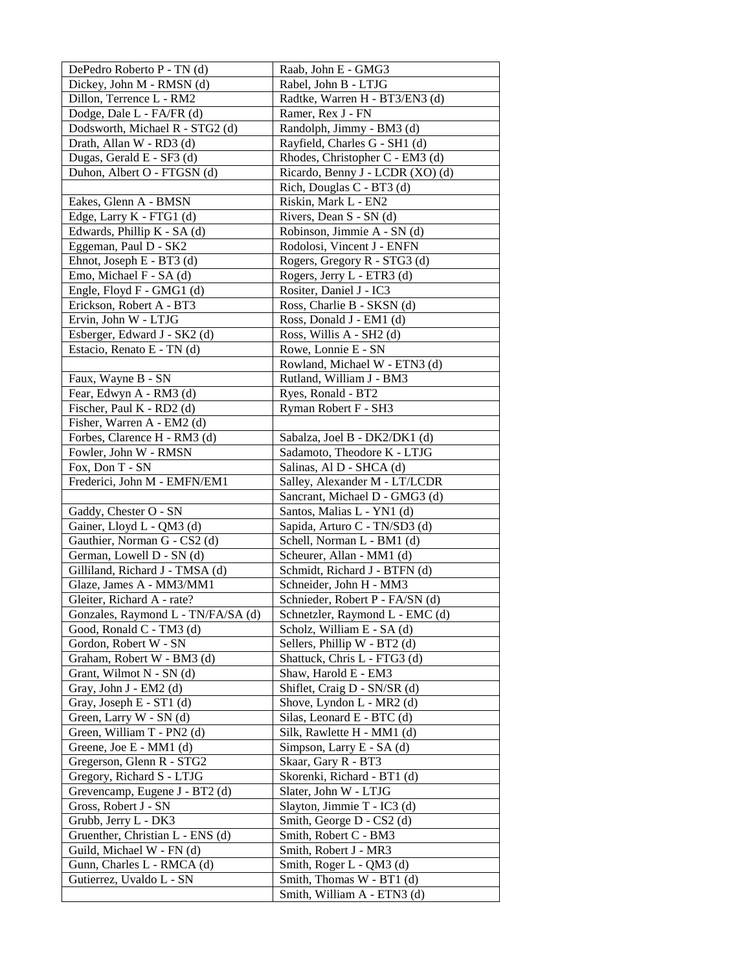| DePedro Roberto P - TN (d)                              | Raab, John E - GMG3                            |
|---------------------------------------------------------|------------------------------------------------|
| Dickey, John M - RMSN (d)                               | Rabel, John B - LTJG                           |
| Dillon, Terrence L - RM2                                | Radtke, Warren H - BT3/EN3 (d)                 |
| Dodge, Dale L - FA/FR (d)                               | Ramer, Rex J - FN                              |
| Dodsworth, Michael R - STG2 (d)                         | Randolph, Jimmy - BM3 (d)                      |
| Drath, Allan W - RD3 (d)                                | Rayfield, Charles G - SH1 (d)                  |
| Dugas, Gerald E - SF3 (d)                               | Rhodes, Christopher C - EM3 (d)                |
| Duhon, Albert O - FTGSN (d)                             | Ricardo, Benny J - LCDR (XO) (d)               |
|                                                         | Rich, Douglas C - BT3 (d)                      |
| Eakes, Glenn A - BMSN                                   | Riskin, Mark L - EN2                           |
| Edge, Larry K - FTG1 (d)                                | Rivers, Dean S - SN (d)                        |
| Edwards, Phillip K - SA (d)                             | Robinson, Jimmie A - SN (d)                    |
| Eggeman, Paul D - SK2                                   | Rodolosi, Vincent J - ENFN                     |
| Ehnot, Joseph E - BT3 (d)                               | Rogers, Gregory R - STG3 (d)                   |
| Emo, Michael F - SA (d)                                 | Rogers, Jerry L - ETR3 (d)                     |
| Engle, Floyd F - GMG1 (d)                               | Rositer, Daniel J - IC3                        |
| Erickson, Robert A - BT3                                | Ross, Charlie B - SKSN (d)                     |
| Ervin, John W - LTJG                                    | Ross, Donald J - EM1 (d)                       |
| Esberger, Edward J - SK2 (d)                            | Ross, Willis A - SH2 (d)                       |
| Estacio, Renato E - TN (d)                              | Rowe, Lonnie E - SN                            |
|                                                         | Rowland, Michael W - ETN3 (d)                  |
| Faux, Wayne B - SN                                      | Rutland, William J - BM3                       |
| Fear, Edwyn A - RM3 (d)                                 | Ryes, Ronald - BT2                             |
| Fischer, Paul K - RD2 (d)                               | Ryman Robert F - SH3                           |
| Fisher, Warren A - EM2 (d)                              |                                                |
| Forbes, Clarence H - RM3 (d)                            | Sabalza, Joel B - DK2/DK1 (d)                  |
| Fowler, John W - RMSN                                   | Sadamoto, Theodore K - LTJG                    |
| Fox, Don T - SN                                         | Salinas, Al D - SHCA (d)                       |
| Frederici, John M - EMFN/EM1                            | Salley, Alexander M - LT/LCDR                  |
|                                                         | Sancrant, Michael D - GMG3 (d)                 |
| Gaddy, Chester O - SN                                   | Santos, Malias L - YN1 (d)                     |
| Gainer, Lloyd L - QM3 (d)                               | Sapida, Arturo C - TN/SD3 (d)                  |
| Gauthier, Norman G - CS2 (d)                            | Schell, Norman L - BM1 (d)                     |
| German, Lowell D - SN (d)                               | Scheurer, Allan - MM1 (d)                      |
| Gilliland, Richard J - TMSA (d)                         | Schmidt, Richard J - BTFN (d)                  |
| Glaze, James A - MM3/MM1                                | Schneider, John H - MM3                        |
| Gleiter, Richard A - rate?                              | Schnieder, Robert P - FA/SN (d)                |
| Gonzales, Raymond L - TN/FA/SA (d)                      | Schnetzler, Raymond L - EMC (d)                |
| Good, Ronald C - TM3 (d)                                | Scholz, William E - SA (d)                     |
| Gordon, Robert W - SN                                   | Sellers, Phillip W - BT2 (d)                   |
| Graham, Robert W - BM3 (d)                              | Shattuck, Chris L - FTG3 (d)                   |
| Grant, Wilmot N - SN (d)                                | Shaw, Harold E - EM3                           |
| Gray, John J - EM2 (d)                                  | Shiflet, Craig D - SN/SR (d)                   |
| Gray, Joseph E - ST1 (d)                                | Shove, Lyndon L - MR2 (d)                      |
| Green, Larry W - SN (d)                                 | Silas, Leonard E - BTC (d)                     |
| Green, William T - PN2 (d)                              | Silk, Rawlette H - MM1 (d)                     |
| Greene, Joe E - MM1 (d)                                 | Simpson, Larry E - SA (d)                      |
| Gregerson, Glenn R - STG2                               | Skaar, Gary R - BT3                            |
| Gregory, Richard S - LTJG                               | Skorenki, Richard - BT1 (d)                    |
| Grevencamp, Eugene J - BT2 (d)                          | Slater, John W - LTJG                          |
| Gross, Robert J - SN                                    | Slayton, Jimmie T - IC3 (d)                    |
| Grubb, Jerry L - DK3                                    | Smith, George D - CS2 (d)                      |
| Gruenther, Christian L - ENS (d)                        | Smith, Robert C - BM3<br>Smith, Robert J - MR3 |
| Guild, Michael W - FN (d)<br>Gunn, Charles L - RMCA (d) | Smith, Roger L - QM3 (d)                       |
| Gutierrez, Uvaldo L - SN                                | Smith, Thomas W - BT1 (d)                      |
|                                                         | Smith, William A - ETN3 (d)                    |
|                                                         |                                                |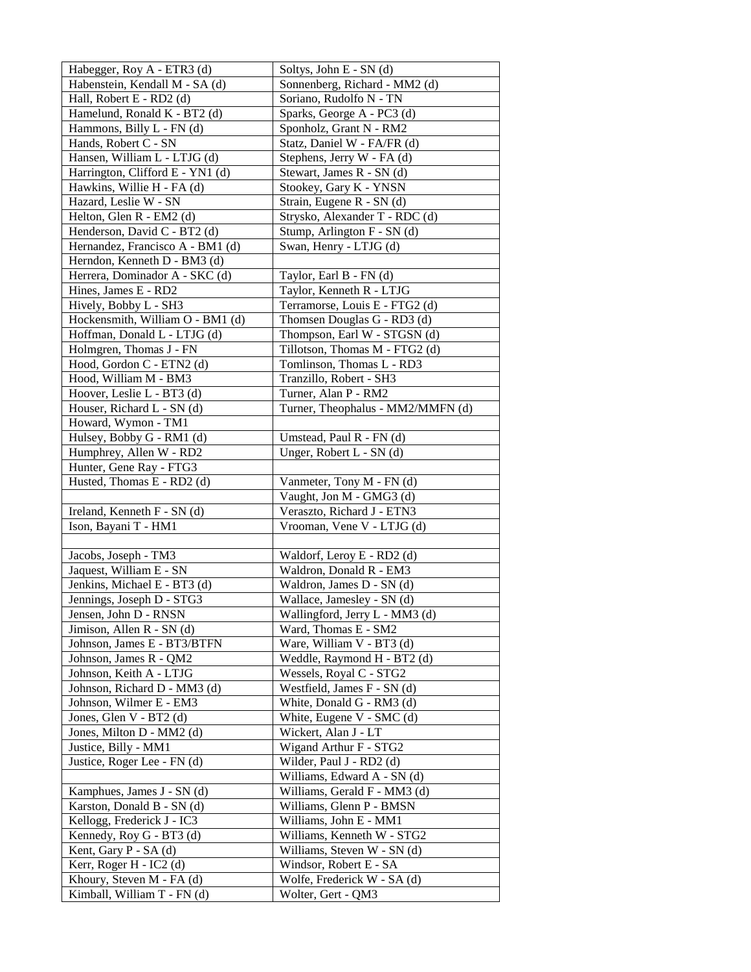| Habegger, Roy A - ETR3 (d)                               | Soltys, John E - SN (d)           |
|----------------------------------------------------------|-----------------------------------|
| Habenstein, Kendall M - SA (d)                           | Sonnenberg, Richard - MM2 (d)     |
| Hall, Robert E - RD2 (d)                                 | Soriano, Rudolfo N - TN           |
| Hamelund, Ronald K - BT2 (d)                             | Sparks, George A - PC3 (d)        |
| Hammons, Billy L - FN (d)                                | Sponholz, Grant N - RM2           |
| Hands, Robert C - SN                                     | Statz, Daniel W - FA/FR (d)       |
| Hansen, William L - LTJG (d)                             | Stephens, Jerry W - FA (d)        |
| Harrington, Clifford E - YN1 (d)                         | Stewart, James R - SN (d)         |
| Hawkins, Willie H - FA (d)                               | Stookey, Gary K - YNSN            |
| Hazard, Leslie W - SN                                    | Strain, Eugene R - SN (d)         |
| Helton, Glen R - EM2 (d)                                 | Strysko, Alexander T - RDC (d)    |
| Henderson, David C - BT2 (d)                             | Stump, Arlington F - SN (d)       |
| Hernandez, Francisco A - BM1 (d)                         | Swan, Henry - LTJG (d)            |
| Herndon, Kenneth D - BM3 (d)                             |                                   |
| Herrera, Dominador A - SKC (d)                           | Taylor, Earl B - FN (d)           |
| Hines, James E - RD2                                     | Taylor, Kenneth R - LTJG          |
| Hively, Bobby L - SH3                                    | Terramorse, Louis E - FTG2 (d)    |
| Hockensmith, William O - BM1 (d)                         | Thomsen Douglas G - RD3 (d)       |
| Hoffman, Donald L - LTJG (d)                             | Thompson, Earl W - STGSN (d)      |
| Holmgren, Thomas J - FN                                  | Tillotson, Thomas M - FTG2 (d)    |
| Hood, Gordon C - ETN2 (d)                                | Tomlinson, Thomas L - RD3         |
| Hood, William M - BM3                                    | Tranzillo, Robert - SH3           |
| Hoover, Leslie L - BT3 (d)                               | Turner, Alan P - RM2              |
| Houser, Richard L - SN (d)                               | Turner, Theophalus - MM2/MMFN (d) |
| Howard, Wymon - TM1                                      |                                   |
| Hulsey, Bobby G - RM1 (d)                                | Umstead, Paul R - FN (d)          |
| Humphrey, Allen W - RD2                                  | Unger, Robert L - SN (d)          |
| Hunter, Gene Ray - FTG3                                  |                                   |
| Husted, Thomas E - RD2 (d)                               | Vanmeter, Tony M - FN (d)         |
|                                                          | Vaught, Jon M - GMG3 (d)          |
| Ireland, Kenneth F - SN (d)                              | Veraszto, Richard J - ETN3        |
| Ison, Bayani T - HM1                                     | Vrooman, Vene V - LTJG (d)        |
|                                                          | Waldorf, Leroy E - RD2 (d)        |
| Jacobs, Joseph - TM3<br>Jaquest, William E - SN          | Waldron, Donald R - EM3           |
| Jenkins, Michael E - BT3 (d)                             | Waldron, James D - SN (d)         |
| Jennings, Joseph D - STG3                                | Wallace, Jamesley - SN (d)        |
| Jensen, John D - RNSN                                    | Wallingford, Jerry L - MM3 (d)    |
| Jimison, Allen $R$ - SN (d)                              | Ward, Thomas E - SM2              |
| Johnson, James E - BT3/BTFN                              | Ware, William V - BT3 (d)         |
| Johnson, James R - QM2                                   | Weddle, Raymond H - BT2 (d)       |
| Johnson, Keith A - LTJG                                  | Wessels, Royal C - STG2           |
| Johnson, Richard D - MM3 (d)                             | Westfield, James F - SN (d)       |
| Johnson, Wilmer E - EM3                                  | White, Donald G - RM3 (d)         |
| Jones, Glen V - BT2 (d)                                  | White, Eugene V - SMC (d)         |
| Jones, Milton D - MM2 (d)                                | Wickert, Alan J - LT              |
| Justice, Billy - MM1                                     | Wigand Arthur F - STG2            |
| Justice, Roger Lee - FN (d)                              | Wilder, Paul J - RD2 (d)          |
|                                                          | Williams, Edward A - SN (d)       |
| Kamphues, James J - SN (d)                               | Williams, Gerald F - MM3 (d)      |
| Karston, Donald B - SN (d)                               | Williams, Glenn P - BMSN          |
| Kellogg, Frederick J - IC3                               | Williams, John E - MM1            |
| Kennedy, Roy G - BT3 (d)                                 | Williams, Kenneth W - STG2        |
| Kent, Gary P - SA (d)                                    | Williams, Steven W - SN (d)       |
| Kerr, Roger H - IC2 (d)                                  |                                   |
|                                                          | Windsor, Robert E - SA            |
| Khoury, Steven M - FA (d)<br>Kimball, William T - FN (d) | Wolfe, Frederick W - SA (d)       |